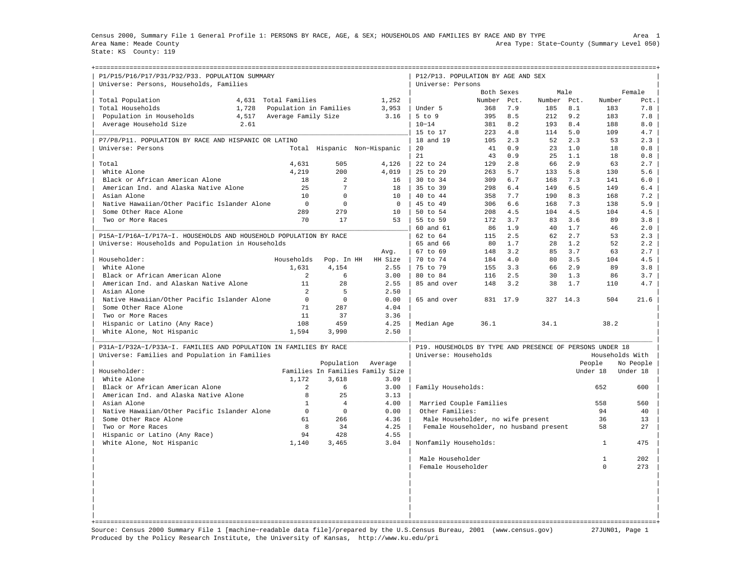Census 2000, Summary File 1 General Profile 1: PERSONS BY RACE, AGE, & SEX; HOUSEHOLDS AND FAMILIES BY RACE AND BY TYPE Area 1 Area Name: Meade County Area Type: State−County (Summary Level 050) State: KS County: 119

+===================================================================================================================================================+

| P1/P15/P16/P17/P31/P32/P33. POPULATION SUMMARY<br>Universe: Persons, Households, Families |                        |                |                                  | P12/P13. POPULATION BY AGE AND SEX<br>Universe: Persons  |            |          |             |      |                 |           |
|-------------------------------------------------------------------------------------------|------------------------|----------------|----------------------------------|----------------------------------------------------------|------------|----------|-------------|------|-----------------|-----------|
|                                                                                           |                        |                |                                  |                                                          | Both Sexes |          |             | Male |                 | Female    |
| Total Population<br>4,631                                                                 | Total Families         |                | 1,252                            |                                                          | Number     | Pct.     | Number Pct. |      | Number          | Pct.      |
| Total Households<br>1,728                                                                 | Population in Families |                | 3,953                            | Under 5                                                  | 368        | 7.9      | 185         | 8.1  | 183             | 7.8       |
| 4,517<br>Population in Households                                                         | Average Family Size    |                | 3.16                             | $5$ to $9$                                               | 395        | 8.5      | 212         | 9.2  | 183             | 7.8       |
| Average Household Size<br>2.61                                                            |                        |                |                                  | $10 - 14$                                                | 381        | 8.2      | 193         | 8.4  | 188             | 8.0       |
|                                                                                           |                        |                |                                  | 15 to 17                                                 | 223        | 4.8      | 114         | 5.0  | 109             | 4.7       |
| P7/P8/P11. POPULATION BY RACE AND HISPANIC OR LATINO                                      |                        |                |                                  | 18 and 19                                                | 105        | 2.3      | 52          | 2.3  | 53              | 2.3       |
| Universe: Persons                                                                         |                        |                | Total Hispanic Non-Hispanic      | 20                                                       | 41         | 0.9      | 23          | 1.0  | 18              | 0.8       |
|                                                                                           |                        |                |                                  | 21                                                       | 43         | 0.9      | 25          | 1.1  | 18              | 0.8       |
| Total                                                                                     | 4,631                  | 505            | 4,126                            | 22 to 24                                                 | 129        | 2.8      | 66          | 2.9  | 63              | 2.7       |
| White Alone                                                                               | 4,219                  | 200            | 4,019                            | 25 to 29                                                 | 263        | 5.7      | 133         | 5.8  | 130             | 5.6       |
| Black or African American Alone                                                           | 18                     | $\overline{a}$ | 16                               | $30 \text{ to } 34$                                      | 309        | 6.7      | 168         | 7.3  | 141             | 6.0       |
| American Ind. and Alaska Native Alone                                                     | 25                     | 7              | 18                               | 35 to 39                                                 | 298        | 6.4      | 149         | 6.5  | 149             | 6.4       |
| Asian Alone                                                                               | 10                     | $\Omega$       | 10                               | 40 to 44                                                 | 358        | 7.7      | 190         | 8.3  | 168             | 7.2       |
| Native Hawaiian/Other Pacific Islander Alone                                              | $\mathbf{0}$           | $\mathbf 0$    | $\mathbf 0$                      | 45 to 49                                                 | 306        | 6.6      | 168         | 7.3  | 138             | 5.9       |
| Some Other Race Alone                                                                     | 289                    | 279            | 10                               | $50 \text{ to } 54$                                      | 208        | 4.5      | 104         | 4.5  | 104             | 4.5       |
| Two or More Races                                                                         | 70                     | 17             | 53                               | 55 to 59                                                 | 172        | 3.7      | 83          | 3.6  | 89              | 3.8       |
|                                                                                           |                        |                |                                  | 60 and 61                                                | 86         | 1.9      | 40          | 1.7  | 46              | 2.0       |
| P15A-I/P16A-I/P17A-I. HOUSEHOLDS AND HOUSEHOLD POPULATION BY RACE                         |                        |                |                                  | 62 to 64                                                 | 115        | 2.5      | 62          | 2.7  | 53              | 2.3       |
| Universe: Households and Population in Households                                         |                        |                |                                  | 65 and 66                                                | 80         | 1.7      | 28          | 1.2  | 52              | 2.2       |
|                                                                                           |                        |                |                                  | $67$ to $69$                                             | 148        | 3.2      | 85          | 3.7  | 63              | 2.7       |
| Householder:                                                                              | Households             |                | Avg.<br>HH Size                  | 70 to 74                                                 | 184        | 4.0      | 80          | 3.5  | 104             | 4.5       |
|                                                                                           |                        | Pop. In HH     |                                  |                                                          |            | 3.3      |             | 2.9  |                 |           |
| White Alone                                                                               | 1,631                  | 4,154          | 2.55                             | 75 to 79                                                 | 155        |          | 66          | 1.3  | 89              | 3.8       |
| Black or African American Alone                                                           | 2                      | 6              | 3.00                             | 80 to 84                                                 | 116        | 2.5      | 30          |      | 86              | 3.7       |
| American Ind. and Alaskan Native Alone                                                    | 11                     | 28<br>5        | 2.55                             | 85 and over                                              | 148        | 3.2      | 38          | 1.7  | 110             | 4.7       |
| Asian Alone                                                                               | $\overline{a}$         |                | 2.50                             |                                                          |            |          |             |      |                 |           |
| Native Hawaiian/Other Pacific Islander Alone                                              | $\mathbf 0$            | $\Omega$       | 0.00                             | 65 and over                                              |            | 831 17.9 | 327         | 14.3 | 504             | 21.6      |
| Some Other Race Alone                                                                     | 71                     | 287            | 4.04                             |                                                          |            |          |             |      |                 |           |
| Two or More Races                                                                         | 11                     | 37             | 3.36                             |                                                          |            |          |             |      |                 |           |
| Hispanic or Latino (Any Race)                                                             | 108                    | 459            | 4.25                             | Median Age                                               | 36.1       |          | 34.1        |      | 38.2            |           |
| White Alone, Not Hispanic                                                                 | 1,594                  | 3,990          | 2.50                             |                                                          |            |          |             |      |                 |           |
| P31A-I/P32A-I/P33A-I, FAMILIES AND POPULATION IN FAMILIES BY RACE                         |                        |                |                                  | P19. HOUSEHOLDS BY TYPE AND PRESENCE OF PERSONS UNDER 18 |            |          |             |      |                 |           |
| Universe: Families and Population in Families                                             |                        |                |                                  | Universe: Households                                     |            |          |             |      | Households With |           |
|                                                                                           |                        | Population     | Average                          |                                                          |            |          |             |      | People          | No People |
| Householder:                                                                              |                        |                | Families In Families Family Size |                                                          |            |          |             |      | Under 18        | Under 18  |
| White Alone                                                                               | 1,172                  | 3,618          | 3.09                             |                                                          |            |          |             |      |                 |           |
| Black or African American Alone                                                           | 2                      | 6              | 3.00                             | Family Households:                                       |            |          |             |      | 652             | 600       |
| American Ind. and Alaska Native Alone                                                     | 8                      | 25             | 3.13                             |                                                          |            |          |             |      |                 |           |
| Asian Alone                                                                               | $\mathbf{1}$           | $\overline{4}$ | 4.00                             | Married Couple Families                                  |            |          |             |      | 558             | 560       |
| Native Hawaiian/Other Pacific Islander Alone                                              | $\mathbf 0$            | $\Omega$       | 0.00                             | Other Families:                                          |            |          |             |      | 94              | 40        |
| Some Other Race Alone                                                                     | 61                     | 266            | 4.36                             | Male Householder, no wife present                        |            |          |             |      | 36              | 13        |
| Two or More Races                                                                         | 8                      | 34             | 4.25                             | Female Householder, no husband present                   |            |          |             |      | 58              | 27        |
| Hispanic or Latino (Any Race)                                                             | 94                     | 428            | 4.55                             |                                                          |            |          |             |      |                 |           |
| White Alone, Not Hispanic                                                                 | 1,140                  | 3,465          | 3.04                             | Nonfamily Households:                                    |            |          |             |      | $\mathbf{1}$    | 475       |
|                                                                                           |                        |                |                                  | Male Householder                                         |            |          |             |      | $\mathbf{1}$    | 202       |
|                                                                                           |                        |                |                                  | Female Householder                                       |            |          |             |      | $\Omega$        | 273       |
|                                                                                           |                        |                |                                  |                                                          |            |          |             |      |                 |           |
|                                                                                           |                        |                |                                  |                                                          |            |          |             |      |                 |           |
|                                                                                           |                        |                |                                  |                                                          |            |          |             |      |                 |           |
|                                                                                           |                        |                |                                  |                                                          |            |          |             |      |                 |           |
|                                                                                           |                        |                |                                  |                                                          |            |          |             |      |                 |           |
|                                                                                           |                        |                |                                  |                                                          |            |          |             |      |                 |           |

Source: Census 2000 Summary File 1 [machine−readable data file]/prepared by the U.S.Census Bureau, 2001 (www.census.gov) 27JUN01, Page 1 Produced by the Policy Research Institute, the University of Kansas, http://www.ku.edu/pri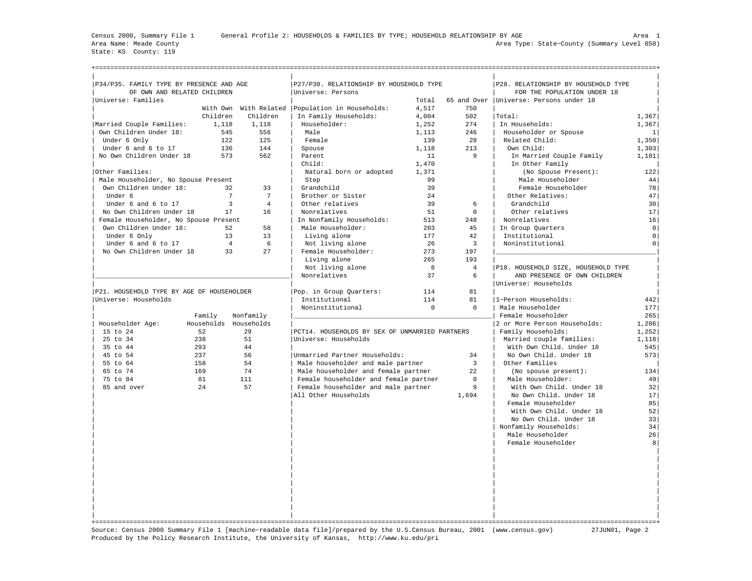State: KS County: 119

| P34/P35. FAMILY TYPE BY PRESENCE AND AGE  |                 |                       | P27/P30. RELATIONSHIP BY HOUSEHOLD TYPE           |            |                | P28. RELATIONSHIP BY HOUSEHOLD TYPE      |                      |
|-------------------------------------------|-----------------|-----------------------|---------------------------------------------------|------------|----------------|------------------------------------------|----------------------|
| OF OWN AND RELATED CHILDREN               |                 |                       | Universe: Persons                                 |            |                | FOR THE POPULATION UNDER 18              |                      |
| Universe: Families                        |                 |                       |                                                   | Total      |                | 65 and Over   Universe: Persons under 18 |                      |
|                                           |                 |                       | With Own With Related   Population in Households: | 4,517      | 750            |                                          |                      |
|                                           | Children        | Children              | In Family Households:                             | 4,004      | 502            | Total:                                   | 1,367                |
| Married Couple Families:                  | 1,118           | 1,118                 | Householder:                                      | 1,252      | 274            | In Households:                           | 1,367                |
| Own Children Under 18:                    | 545             | 556                   | Male                                              | 1,113      | 246            | Householder or Spouse                    | 1                    |
| Under 6 Only                              | 122             | 125                   | Female                                            | 139        | 28             | Related Child:                           | 1,350                |
| Under 6 and 6 to 17                       | 136             | 144                   | Spouse                                            | 1,118      | 213            | Own Child:                               | 1,303                |
| No Own Children Under 18                  | 573             | 562                   | Parent                                            | 11         | 9              | In Married Couple Family                 | 1,181                |
|                                           |                 |                       | Child:                                            | 1,470      |                | In Other Family                          |                      |
| Other Families:                           |                 |                       | Natural born or adopted                           | 1,371      |                | (No Spouse Present):                     | 122                  |
| Male Householder, No Spouse Present       |                 |                       | Step                                              | 99         |                | Male Householder                         | 44                   |
| Own Children Under 18:                    | 32              | 33                    | Grandchild                                        | 39         |                | Female Householder                       | 78                   |
| Under 6                                   | $7\overline{ }$ | $7\phantom{.0}$       | Brother or Sister                                 | 24         |                | Other Relatives:                         | 47                   |
| Under 6 and 6 to 17                       | $\overline{3}$  | $\overline{4}$        | Other relatives                                   | 39         | 6              | Grandchild                               | 30                   |
| No Own Children Under 18                  | 17              | 16                    | Nonrelatives                                      | 51         | $\Omega$       | Other relatives                          | 17 <sup>1</sup>      |
| Female Householder, No Spouse Present     |                 |                       | In Nonfamily Households:                          | 513        | 248            | Nonrelatives                             | 16                   |
| Own Children Under 18:                    | 52<br>13        | 58<br>13              | Male Householder:                                 | 203<br>177 | 45<br>42       | In Group Quarters<br>Institutional       | $\circ$              |
| Under 6 Only<br>Under 6 and 6 to 17       | $\overline{4}$  | 6                     | Living alone<br>Not living alone                  | 26         | $\overline{3}$ | Noninstitutional                         | 0 <br>0 <sup>1</sup> |
| No Own Children Under 18                  | 33              | 27                    | Female Householder:                               | 273        | 197            |                                          |                      |
|                                           |                 |                       | Living alone                                      | 265        | 193            |                                          |                      |
|                                           |                 |                       | Not living alone                                  | 8          | $\overline{4}$ | P18. HOUSEHOLD SIZE, HOUSEHOLD TYPE      |                      |
|                                           |                 |                       | Nonrelatives                                      | 37         | 6              | AND PRESENCE OF OWN CHILDREN             |                      |
|                                           |                 |                       |                                                   |            |                | Universe: Households                     |                      |
| P21. HOUSEHOLD TYPE BY AGE OF HOUSEHOLDER |                 |                       | Pop. in Group Quarters:                           | 114        | 81             |                                          |                      |
| Universe: Households                      |                 |                       | Institutional                                     | 114        | 81             | 1-Person Households:                     | 442                  |
|                                           |                 |                       | Noninstitutional                                  | $\Omega$   | $\Omega$       | Male Householder                         | 177                  |
|                                           | Family          | Nonfamily             |                                                   |            |                | Female Householder                       | 265                  |
| Householder Age:                          |                 | Households Households |                                                   |            |                | 2 or More Person Households:             | 1,286                |
| 15 to 24                                  | 52              | 2.9                   | PCT14. HOUSEHOLDS BY SEX OF UNMARRIED PARTNERS    |            |                | Family Households:                       | 1,252                |
| 25 to 34                                  | 238             | 51                    | Universe: Households                              |            |                | Married couple families:                 | 1,118                |
| 35 to 44                                  | 293             | 44                    |                                                   |            |                | With Own Child. Under 18                 | 545                  |
| 45 to 54                                  | 237             | 56                    | Unmarried Partner Households:                     |            | 34             | No Own Child. Under 18                   | 573                  |
| 55 to 64                                  | 158             | 54                    | Male householder and male partner                 |            | $\overline{3}$ | Other Families                           |                      |
| 65 to 74                                  | 169             | 74                    | Male householder and female partner               |            | 22             | (No spouse present):                     | 134                  |
| 75 to 84                                  | 81              | 111                   | Female householder and female partner             |            | $\mathbf 0$    | Male Householder:                        | 49                   |
| 85 and over                               | 24              | 57                    | Female householder and male partner               |            | 9              | With Own Child. Under 18                 | 32                   |
|                                           |                 |                       | All Other Households                              |            | 1,694          | No Own Child. Under 18                   | 17                   |
|                                           |                 |                       |                                                   |            |                | Female Householder                       | 85                   |
|                                           |                 |                       |                                                   |            |                | With Own Child. Under 18                 | 52                   |
|                                           |                 |                       |                                                   |            |                | No Own Child. Under 18                   | 33                   |
|                                           |                 |                       |                                                   |            |                | Nonfamily Households:                    | 34                   |
|                                           |                 |                       |                                                   |            |                | Male Householder                         | 26                   |
|                                           |                 |                       |                                                   |            |                | Female Householder                       | 8                    |
|                                           |                 |                       |                                                   |            |                |                                          |                      |
|                                           |                 |                       |                                                   |            |                |                                          |                      |
|                                           |                 |                       |                                                   |            |                |                                          |                      |
|                                           |                 |                       |                                                   |            |                |                                          |                      |
|                                           |                 |                       |                                                   |            |                |                                          |                      |
|                                           |                 |                       |                                                   |            |                |                                          |                      |
|                                           |                 |                       |                                                   |            |                |                                          |                      |
|                                           |                 |                       |                                                   |            |                |                                          |                      |
|                                           |                 |                       |                                                   |            |                |                                          |                      |

Source: Census 2000 Summary File 1 [machine−readable data file]/prepared by the U.S.Census Bureau, 2001 (www.census.gov) 27JUN01, Page 2 Produced by the Policy Research Institute, the University of Kansas, http://www.ku.edu/pri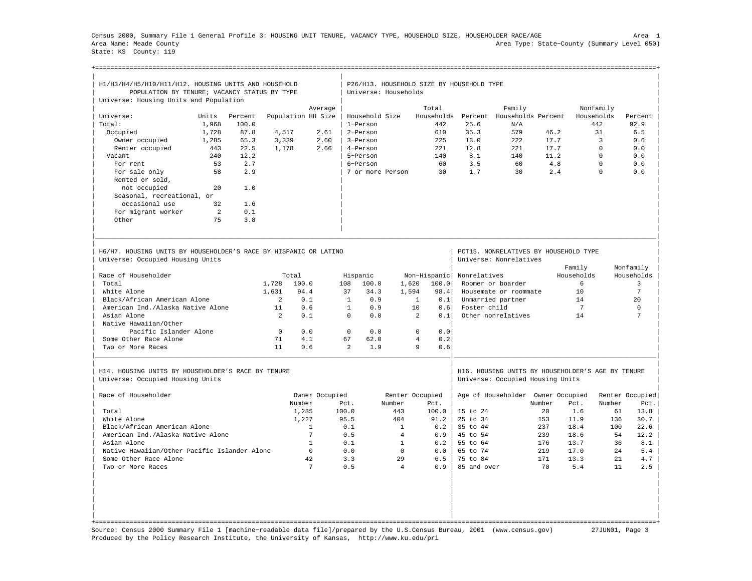Census 2000, Summary File 1 General Profile 3: HOUSING UNIT TENURE, VACANCY TYPE, HOUSEHOLD SIZE, HOUSEHOLDER RACE/AGE Area 1 Area Name: Meade County Area Type: State−County (Summary Level 050) State: KS County: 119

| H1/H3/H4/H5/H10/H11/H12. HOUSING UNITS AND HOUSEHOLD                                                 |       |         |                |                    |                |                      |                | P26/H13. HOUSEHOLD SIZE BY HOUSEHOLD TYPE |                     |                                                                                       |        |                |             |                       |
|------------------------------------------------------------------------------------------------------|-------|---------|----------------|--------------------|----------------|----------------------|----------------|-------------------------------------------|---------------------|---------------------------------------------------------------------------------------|--------|----------------|-------------|-----------------------|
| POPULATION BY TENURE; VACANCY STATUS BY TYPE                                                         |       |         |                |                    |                | Universe: Households |                |                                           |                     |                                                                                       |        |                |             |                       |
| Universe: Housing Units and Population                                                               |       |         |                |                    |                |                      |                |                                           |                     |                                                                                       |        |                |             |                       |
|                                                                                                      |       |         |                | Average            |                |                      |                | Total                                     |                     | Family                                                                                |        |                | Nonfamily   |                       |
| Universe:                                                                                            | Units | Percent |                | Population HH Size |                | Household Size       |                | Households                                |                     | Percent Households Percent                                                            |        |                | Households  | Percent               |
| Total:                                                                                               | 1,968 | 100.0   |                |                    |                | 1-Person             |                | 442                                       | 25.6                | N/A                                                                                   |        |                | 442         | 92.9                  |
| Occupied                                                                                             | 1,728 | 87.8    | 4,517          | 2.61               |                | 2-Person             |                | 610                                       | 35.3                | 579                                                                                   | 46.2   |                | 31          | 6.5                   |
| Owner occupied                                                                                       | 1,285 | 65.3    | 3,339          | 2.60               |                | 3-Person             |                | 225                                       | 13.0                | 222                                                                                   | 17.7   |                | 3           | 0.6                   |
| Renter occupied                                                                                      | 443   | 22.5    | 1,178          | 2.66               |                | 4-Person             |                | 221                                       | 12.8                | 221                                                                                   | 17.7   |                | $\Omega$    | 0.0                   |
| Vacant                                                                                               | 240   | 12.2    |                |                    |                | 5-Person             |                | 140                                       | 8.1                 | 140                                                                                   | 11.2   |                | $\Omega$    | 0.0                   |
| For rent                                                                                             | 53    | 2.7     |                |                    |                | 6-Person             |                | 60                                        | 3.5                 | 60                                                                                    | 4.8    |                | $\mathbf 0$ | ${\bf 0}$ . ${\bf 0}$ |
| For sale only                                                                                        | 58    | 2.9     |                |                    |                | 7 or more Person     |                | 30                                        | 1.7                 | 30                                                                                    | 2.4    |                | $\Omega$    | 0.0                   |
| Rented or sold,                                                                                      |       |         |                |                    |                |                      |                |                                           |                     |                                                                                       |        |                |             |                       |
| not occupied                                                                                         | 2.0   | 1.0     |                |                    |                |                      |                |                                           |                     |                                                                                       |        |                |             |                       |
| Seasonal, recreational, or                                                                           |       |         |                |                    |                |                      |                |                                           |                     |                                                                                       |        |                |             |                       |
| occasional use                                                                                       | 32    | 1.6     |                |                    |                |                      |                |                                           |                     |                                                                                       |        |                |             |                       |
| For migrant worker                                                                                   | 2     | 0.1     |                |                    |                |                      |                |                                           |                     |                                                                                       |        |                |             |                       |
| Other                                                                                                | 75    | 3.8     |                |                    |                |                      |                |                                           |                     |                                                                                       |        |                |             |                       |
| H6/H7, HOUSING UNITS BY HOUSEHOLDER'S RACE BY HISPANIC OR LATINO<br>Universe: Occupied Housing Units |       |         |                |                    |                |                      |                |                                           |                     | PCT15. NONRELATIVES BY HOUSEHOLD TYPE<br>Universe: Nonrelatives                       |        |                |             |                       |
|                                                                                                      |       |         |                |                    |                |                      |                |                                           |                     |                                                                                       |        | Family         |             | Nonfamily             |
| Race of Householder                                                                                  |       |         |                | Total              |                | Hispanic             |                | Non-Hispanic                              | Nonrelatives        |                                                                                       |        | Households     |             | Households            |
| Total                                                                                                |       |         | 1,728          | 100.0              | 108            | 100.0                | 1,620          | 100.0                                     |                     | Roomer or boarder                                                                     |        | 6              |             | $\overline{3}$        |
| White Alone                                                                                          |       |         | 1,631          | 94.4               | 37             | 34.3                 | 1,594          | 98.4                                      |                     | Housemate or roommate                                                                 |        | 10             |             | 7                     |
| Black/African American Alone                                                                         |       |         | $\mathfrak{D}$ | 0.1                | $\overline{1}$ | 0.9                  |                | $\mathbf{1}$<br>0.1                       |                     | Unmarried partner                                                                     |        | 14             |             | 2.0                   |
| American Ind./Alaska Native Alone                                                                    |       |         | 11             | 0.6                | $\mathbf{1}$   | 0.9                  |                | 10<br>0.6                                 | Foster child        |                                                                                       |        | $\overline{7}$ |             | $\mathbf 0$           |
| Asian Alone                                                                                          |       |         | $\overline{2}$ | 0.1                | $\Omega$       | 0.0                  |                | $\mathfrak{D}$<br>0.1                     |                     | Other nonrelatives                                                                    |        | 14             |             | 7                     |
| Native Hawaiian/Other                                                                                |       |         |                |                    |                |                      |                |                                           |                     |                                                                                       |        |                |             |                       |
| Pacific Islander Alone                                                                               |       |         | $\Omega$       | 0.0                | $\Omega$       | 0.0                  |                | $\Omega$<br>0.0                           |                     |                                                                                       |        |                |             |                       |
| Some Other Race Alone                                                                                |       |         | 71             | 4.1                | 67             | 62.0                 |                | $\overline{4}$<br>0.2                     |                     |                                                                                       |        |                |             |                       |
| Two or More Races                                                                                    |       |         | 11             | 0.6                | $\mathfrak{D}$ | 1.9                  |                | 9<br>0.6                                  |                     |                                                                                       |        |                |             |                       |
| H14. HOUSING UNITS BY HOUSEHOLDER'S RACE BY TENURE<br>Universe: Occupied Housing Units               |       |         |                |                    |                |                      |                |                                           |                     | H16. HOUSING UNITS BY HOUSEHOLDER'S AGE BY TENURE<br>Universe: Occupied Housing Units |        |                |             |                       |
| Race of Householder                                                                                  |       |         |                | Owner Occupied     |                |                      |                | Renter Occupied                           |                     | Age of Householder Owner Occupied                                                     |        |                |             | Renter Occupied       |
|                                                                                                      |       |         |                | Number             | Pct.           |                      | Number         | Pct.                                      |                     |                                                                                       | Number | Pct.           | Number      | Pct.                  |
| Total                                                                                                |       |         |                | 1,285              | 100.0          |                      | 443            | 100.0                                     | 15 to 24            |                                                                                       | 20     | 1.6            | 61          | 13.8                  |
| White Alone                                                                                          |       |         |                | 1,227              | 95.5           |                      | 404            | 91.2                                      | $25 \text{ to } 34$ |                                                                                       | 153    | 11.9           | 136         | 30.7                  |
| Black/African American Alone                                                                         |       |         |                | $\mathbf{1}$       | 0.1            |                      | $\mathbf{1}$   | 0.2                                       | 35 to 44            |                                                                                       | 237    | 18.4           | 100         | 22.6                  |
| American Ind./Alaska Native Alone                                                                    |       |         |                | $\overline{7}$     | 0.5            |                      | $\overline{4}$ | 0.9                                       | 45 to 54            |                                                                                       | 239    | 18.6           | 54          | 12.2                  |
| Asian Alone                                                                                          |       |         |                | $\mathbf{1}$       | 0.1            |                      | $\mathbf{1}$   | 0.2                                       | 55 to 64            |                                                                                       | 176    | 13.7           | 36          | 8.1                   |
| Native Hawaiian/Other Pacific Islander Alone                                                         |       |         |                | $\Omega$           | 0.0            |                      | $\Omega$       | 0.0                                       | 65 to 74            |                                                                                       | 219    | 17.0           | 2.4         | 5.4                   |
| Some Other Race Alone                                                                                |       |         |                | 42                 | 3.3            |                      | 29             | 6.5                                       | 75 to 84            |                                                                                       | 171    | 13.3           | 2.1         | 4.7                   |
| Two or More Races                                                                                    |       |         |                | 7                  | 0.5            |                      | $\overline{4}$ | 0.9                                       | 85 and over         |                                                                                       | 70     | 5.4            | 11          | 2.5                   |
|                                                                                                      |       |         |                |                    |                |                      |                |                                           |                     |                                                                                       |        |                |             |                       |
|                                                                                                      |       |         |                |                    |                |                      |                |                                           |                     |                                                                                       |        |                |             |                       |
|                                                                                                      |       |         |                |                    |                |                      |                |                                           |                     |                                                                                       |        |                |             |                       |

Source: Census 2000 Summary File 1 [machine−readable data file]/prepared by the U.S.Census Bureau, 2001 (www.census.gov) 27JUN01, Page 3 Produced by the Policy Research Institute, the University of Kansas, http://www.ku.edu/pri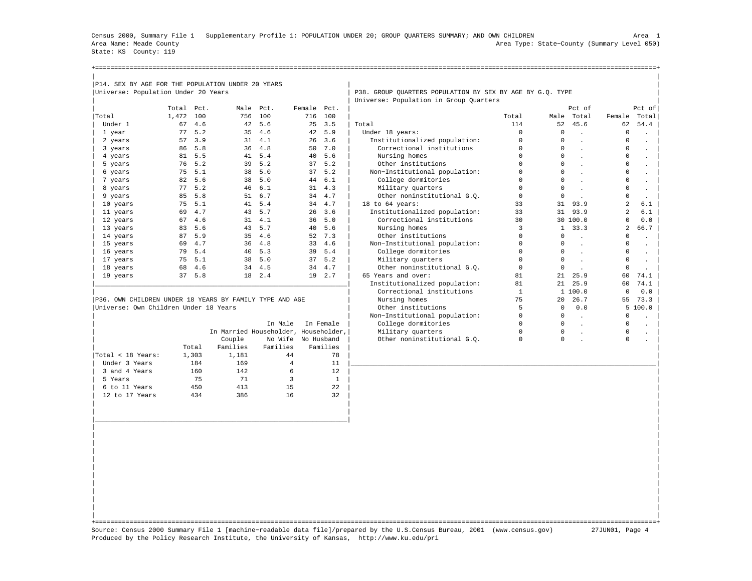Census 2000, Summary File 1 Supplementary Profile 1: POPULATION UNDER 20; GROUP QUARTERS SUMMARY; AND OWN CHILDREN Area 1 Area Name: Meade County Area Type: State−County (Summary Level 050) State: KS County: 119

| State no County II                                |            |        |           |        |             |         |                                                           |       |            |        |          |
|---------------------------------------------------|------------|--------|-----------|--------|-------------|---------|-----------------------------------------------------------|-------|------------|--------|----------|
|                                                   |            |        |           |        |             |         |                                                           |       |            |        |          |
|                                                   |            |        |           |        |             |         |                                                           |       |            |        |          |
|                                                   |            |        |           |        |             |         |                                                           |       |            |        |          |
| P14. SEX BY AGE FOR THE POPULATION UNDER 20 YEARS |            |        |           |        |             |         |                                                           |       |            |        |          |
| Universe: Population Under 20 Years               |            |        |           |        |             |         | P38. GROUP QUARTERS POPULATION BY SEX BY AGE BY G.O. TYPE |       |            |        |          |
|                                                   |            |        |           |        |             |         | Universe: Population in Group Quarters                    |       |            |        |          |
|                                                   | Total Pct. |        | Male Pct. |        | Female Pct. |         |                                                           |       | Pct of     |        | $Pct$ of |
| Total                                             | 1,472 100  |        | 756       | 100    |             | 716 100 |                                                           | Total | Male Total | Female | Total    |
| Under 1                                           |            | 67 4.6 |           | 42 5.6 |             | 25 3.5  | Total                                                     | 114   | 52 45.6    | 62     | 54.4     |
| 1 year                                            |            | 77 5.2 |           | 35 4.6 |             | 42 5.9  | Under 18 years:                                           |       |            |        |          |
| 2 years                                           |            | 57 3.9 |           | 31 4.1 |             | 26, 3.6 | Institutionalized population:                             | 0     |            |        |          |
| 3 years                                           |            | 86 5.8 |           | 36 4.8 |             | 50 7.0  | Correctional institutions                                 |       |            |        |          |
| 4 years                                           |            | 81 5.5 |           | 41 5.4 |             | 40 5.6  | Nursing homes                                             |       |            |        |          |

|                   |       |          | In Male  | In Female                            | College dormitories         | 0 |   |  |
|-------------------|-------|----------|----------|--------------------------------------|-----------------------------|---|---|--|
|                   |       |          |          | In Married Householder, Householder, | Military quarters           | 0 | 0 |  |
|                   |       | Couple   |          | No Wife No Husband                   | Other noninstitutional G.O. | 0 |   |  |
|                   | Total | Families | Families | Families                             |                             |   |   |  |
| Total < 18 Years: | 1,303 | 1,181    | 44       | 78                                   |                             |   |   |  |
| Under 3 Years     | 184   | 169      | 4        | 11                                   |                             |   |   |  |
| 3 and 4 Years     | 160   | 142      | 6        | $12 \overline{ }$                    |                             |   |   |  |
| 5 Years           | 75    | 71       |          |                                      |                             |   |   |  |
| 6 to 11 Years     | 450   | 413      | 15       | 22                                   |                             |   |   |  |
| 12 to 17 Years    | 434   | 386      | 16       | 32                                   |                             |   |   |  |
|                   |       |          |          |                                      |                             |   |   |  |

| 3 years                                                 | 86 | 5.8 | 36.                                  | 4.8     | 50         | 7.0       | Correctional institutions     |    |     |          |    |        |
|---------------------------------------------------------|----|-----|--------------------------------------|---------|------------|-----------|-------------------------------|----|-----|----------|----|--------|
| 4 years                                                 | 81 | 5.5 | 41                                   | 5.4     | 40         | 5.6       | Nursing homes                 |    |     |          |    |        |
| 5 years                                                 | 76 | 5.2 | 39                                   | 5.2     | 37         | 5.2       | Other institutions            |    |     |          |    |        |
| 6 years                                                 | 75 | 5.1 | 38                                   | 5.0     | 37         | 5.2       | Non-Institutional population: |    |     |          |    |        |
| 7 years                                                 | 82 | 5.6 | 38                                   | 5.0     | 44         | 6.1       | College dormitories           |    |     |          |    |        |
| 8 years                                                 | 77 | 5.2 | 46                                   | 6.1     | 31         | 4.3       | Military quarters             |    |     |          |    |        |
| 9 years                                                 | 85 | 5.8 | 51                                   | 6.7     | 34         | 4.7       | Other noninstitutional G.O.   |    |     |          |    |        |
| 10 years                                                | 75 | 5.1 | 41                                   | 5.4     | 34         | 4.7       | 18 to 64 years:               | 33 | 31  | 93.9     |    | 6.1    |
| 11 years                                                | 69 | 4.7 | 43                                   | 5.7     | 26         | 3.6       | Institutionalized population: | 33 | 31  | 93.9     | 2  | 6.1    |
| 12 years                                                | 67 | 4.6 | 31                                   | 4.1     | 36         | 5.0       | Correctional institutions     | 30 |     | 30 100.0 |    | 0.0    |
| 13 years                                                | 83 | 5.6 | 43                                   | 5.7     | 40         | 5.6       | Nursing homes                 |    |     | 33.3     |    | 66.7   |
| 14 years                                                | 87 | 5.9 | 35                                   | 4.6     | 52         | 7.3       | Other institutions            |    | 0   |          |    |        |
| 15 years                                                | 69 | 4.7 | 36                                   | 4.8     | 33         | 4.6       | Non-Institutional population: |    | 0   |          |    |        |
| 16 years                                                | 79 | 5.4 | 40                                   | 5.3     | 39         | 5.4       | College dormitories           |    |     |          |    |        |
| 17 years                                                | 75 | 5.1 | 38                                   | 5.0     | 37         | 5.2       | Military quarters             |    |     |          |    |        |
| 18 years                                                | 68 | 4.6 | 34                                   | 4.5     | 34         | 4.7       | Other noninstitutional G.O.   |    |     |          |    |        |
| 19 years                                                | 37 | 5.8 | 18                                   | 2.4     | 19         | 2.7       | 65 Years and over:            | 81 | 2.1 | 25.9     | 60 | 74.1   |
|                                                         |    |     |                                      |         |            |           | Institutionalized population: | 81 | 2.1 | 25.9     | 60 | 74.1   |
|                                                         |    |     |                                      |         |            |           | Correctional institutions     |    |     | 1 100.0  |    | 0.0    |
| P36. OWN CHILDREN UNDER 18 YEARS BY FAMILY TYPE AND AGE |    |     |                                      |         |            |           | Nursing homes                 | 75 | 20  | 26.7     | 55 | 73.3   |
| Universe: Own Children Under 18 Years                   |    |     |                                      |         |            |           | Other institutions            |    |     | 0.0      |    | 5100.0 |
|                                                         |    |     |                                      |         |            |           | Non-Institutional population: |    |     |          |    |        |
|                                                         |    |     |                                      | In Male |            | In Female | College dormitories           |    |     |          |    |        |
|                                                         |    |     | In Married Householder, Householder, |         |            |           | Military quarters             |    |     |          |    |        |
|                                                         |    |     | Couple                               | No Wife | No Husband |           | Other noninstitutional G.O.   |    |     |          |    |        |

| | +===================================================================================================================================================+ Source: Census 2000 Summary File 1 [machine−readable data file]/prepared by the U.S.Census Bureau, 2001 (www.census.gov) 27JUN01, Page 4 Produced by the Policy Research Institute, the University of Kansas, http://www.ku.edu/pri

| | | |\_\_\_\_\_\_\_\_\_\_\_\_\_\_\_\_\_\_\_\_\_\_\_\_\_\_\_\_\_\_\_\_\_\_\_\_\_\_\_\_\_\_\_\_\_\_\_\_\_\_\_\_\_\_\_\_\_\_\_\_\_\_\_\_\_\_| | | | | | | | | | | | | | | | | | | | | | | |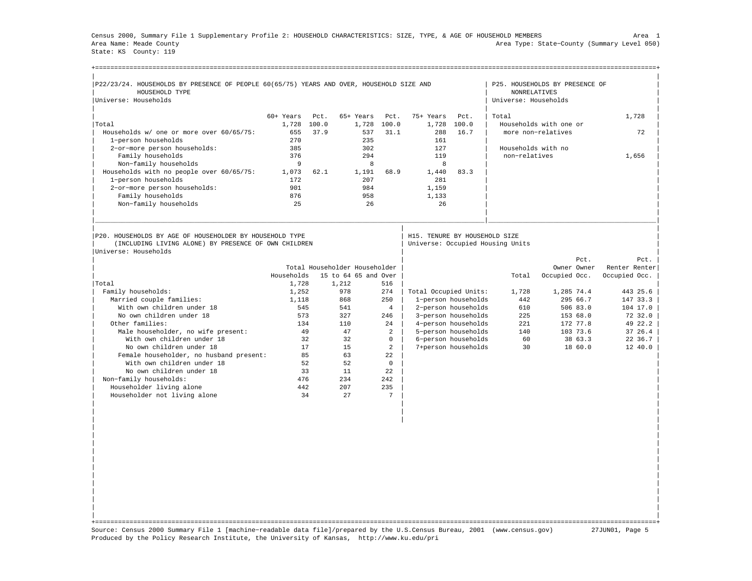Census 2000, Summary File 1 Supplementary Profile 2: HOUSEHOLD CHARACTERISTICS: SIZE, TYPE, & AGE OF HOUSEHOLD MEMBERS Area 1 Area Name: Meade County Area Type: State−County (Summary Level 050) State: KS County: 119

| P22/23/24. HOUSEHOLDS BY PRESENCE OF PEOPLE 60(65/75) YEARS AND OVER, HOUSEHOLD SIZE AND                        |             |       |                               |                |                               |                     |                                  | P25. HOUSEHOLDS BY PRESENCE OF |                                                             |
|-----------------------------------------------------------------------------------------------------------------|-------------|-------|-------------------------------|----------------|-------------------------------|---------------------|----------------------------------|--------------------------------|-------------------------------------------------------------|
| HOUSEHOLD TYPE                                                                                                  |             |       |                               |                |                               |                     | <b>NONRELATIVES</b>              |                                |                                                             |
| Universe: Households                                                                                            |             |       |                               |                |                               |                     | Universe: Households             |                                |                                                             |
|                                                                                                                 | $60+$ Years | Pct.  | 65+ Years                     | Pct.           | 75+ Years                     | Pct.                | Total                            |                                | 1,728                                                       |
| Total                                                                                                           | 1,728       | 100.0 | 1,728                         | 100.0          | 1,728                         | 100.0               |                                  | Households with one or         |                                                             |
| Households w/ one or more over 60/65/75:                                                                        | 655         | 37.9  | 537                           | 31.1           | 288                           | 16.7                |                                  | more non-relatives             | 72                                                          |
| 1-person households                                                                                             | 270         |       | 235                           |                | 161                           |                     |                                  |                                |                                                             |
| 2-or-more person households:                                                                                    | 385         |       | 302                           |                | 127                           |                     | Households with no               |                                |                                                             |
| Family households                                                                                               | 376         |       | 294                           |                | 119                           |                     | non-relatives                    |                                | 1,656                                                       |
| Non-family households                                                                                           | 9           |       | 8                             |                | 8                             |                     |                                  |                                |                                                             |
| Households with no people over 60/65/75:                                                                        | 1,073       | 62.1  | 1,191                         | 68.9           | 1,440                         | 83.3                |                                  |                                |                                                             |
| 1-person households                                                                                             | 172         |       | 207                           |                | 281                           |                     |                                  |                                |                                                             |
| 2-or-more person households:                                                                                    | 901         |       | 984                           |                | 1,159                         |                     |                                  |                                |                                                             |
| Family households                                                                                               | 876         |       | 958                           |                | 1,133                         |                     |                                  |                                |                                                             |
| Non-family households                                                                                           | 25          |       | 26                            |                | 26                            |                     |                                  |                                |                                                             |
|                                                                                                                 |             |       |                               |                |                               |                     |                                  |                                |                                                             |
|                                                                                                                 |             |       |                               |                |                               |                     |                                  |                                |                                                             |
| P20. HOUSEHOLDS BY AGE OF HOUSEHOLDER BY HOUSEHOLD TYPE<br>(INCLUDING LIVING ALONE) BY PRESENCE OF OWN CHILDREN |             |       |                               |                | H15. TENURE BY HOUSEHOLD SIZE |                     | Universe: Occupied Housing Units |                                |                                                             |
| Universe: Households                                                                                            |             |       |                               |                |                               |                     |                                  | Pct.                           | Pct.                                                        |
|                                                                                                                 |             |       | Total Householder Householder |                |                               |                     |                                  | Owner Owner                    |                                                             |
|                                                                                                                 | Households  |       | 15 to 64 65 and Over          |                |                               |                     | Total                            | Occupied Occ.                  | Occupied Occ.                                               |
| Total                                                                                                           | 1,728       |       | 1,212                         | 516            |                               |                     |                                  |                                |                                                             |
| Family households:                                                                                              | 1,252       |       | 978                           | 274            | Total Occupied Units:         |                     | 1,728                            | 1,285 74.4                     | 443 25.6                                                    |
| Married couple families:                                                                                        | 1,118       |       | 868                           | 250            |                               | 1-person households | 442                              | 295 66.7                       | 147 33.3                                                    |
| With own children under 18                                                                                      | 545         |       | 541                           | $\overline{4}$ |                               | 2-person households | 610                              | 506 83.0                       |                                                             |
| No own children under 18                                                                                        | 573         |       | 327                           | 246            |                               | 3-person households | 225                              | 153 68.0                       | 72 32.0                                                     |
| Other families:                                                                                                 | 134         |       | 110                           | 24             |                               | 4-person households | 221                              | 172 77.8                       | 49 22.2                                                     |
| Male householder, no wife present:                                                                              |             | 49    | 47                            | $\overline{a}$ |                               | 5-person households | 140                              | 103 73.6                       |                                                             |
| With own children under 18                                                                                      |             | 32    | 32                            | $\Omega$       |                               | 6-person households | 60                               | 38 63.3                        |                                                             |
| No own children under 18                                                                                        |             | 17    | 15                            | 2              |                               | 7+person households | 30                               | 18 60.0                        | Renter Renter<br>104 17.0<br>37, 26.4<br>22 36.7<br>12 40.0 |
| Female householder, no husband present:                                                                         |             | 85    | 63                            | 22             |                               |                     |                                  |                                |                                                             |
| With own children under 18                                                                                      |             | 52    | 52                            | $\Omega$       |                               |                     |                                  |                                |                                                             |
| No own children under 18                                                                                        |             | 33    | 11                            | 22             |                               |                     |                                  |                                |                                                             |
| Non-family households:                                                                                          | 476         |       | 234                           | 242            |                               |                     |                                  |                                |                                                             |
| Householder living alone                                                                                        | 442         |       | 207                           | 235            |                               |                     |                                  |                                |                                                             |
| Householder not living alone                                                                                    |             | 34    | 27                            | 7              |                               |                     |                                  |                                |                                                             |

| | +===================================================================================================================================================+ Source: Census 2000 Summary File 1 [machine−readable data file]/prepared by the U.S.Census Bureau, 2001 (www.census.gov) 27JUN01, Page 5 Produced by the Policy Research Institute, the University of Kansas, http://www.ku.edu/pri

| | | | | | | | | | | | | | | | | | | | | |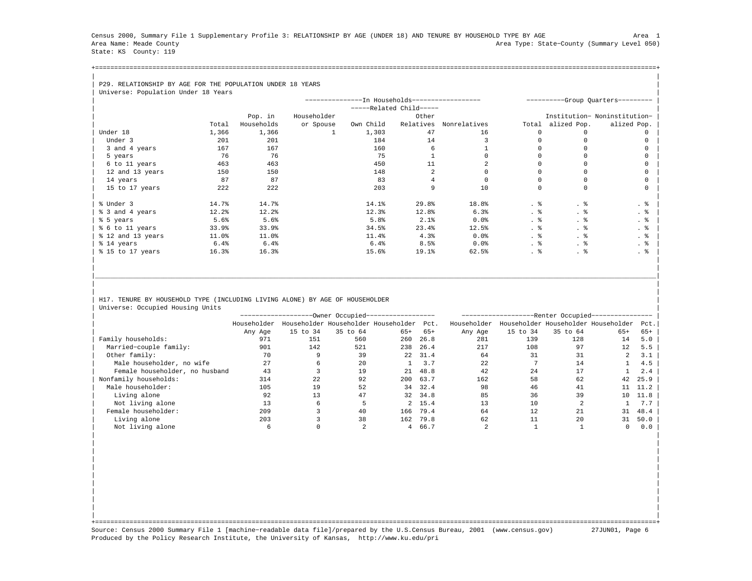Census 2000, Summary File 1 Supplementary Profile 3: RELATIONSHIP BY AGE (UNDER 18) AND TENURE BY HOUSEHOLD TYPE BY AGE Area 1 Area Name: Meade County Area Type: State−County (Summary Level 050) State: KS County: 119

+===================================================================================================================================================+| |

| P29. RELATIONSHIP BY AGE FOR THE POPULATION UNDER 18 YEARS |  |
|------------------------------------------------------------|--|
| Iniverse: Population Under 18 Vears                        |  |

| Universe: Population Under 18 Years |            |             |                                                |                         |              |       |             |                                   |
|-------------------------------------|------------|-------------|------------------------------------------------|-------------------------|--------------|-------|-------------|-----------------------------------|
|                                     |            |             | ---------------In Households------------------ |                         |              |       |             | ----------Group Quarters--------- |
|                                     |            |             |                                                | -----Related Child----- |              |       |             |                                   |
|                                     | Pop. in    | Householder |                                                | Other                   |              |       |             | Institution- Noninstitution-      |
| Total                               | Households | or Spouse   | Own Child                                      | Relatives               | Nonrelatives | Total | alized Pop. | alized Pop.                       |
| Under 18<br>1,366                   | 1,366      |             | 1,303                                          | 47                      | 16           |       |             |                                   |
| Under 3<br>201                      | 201        |             | 184                                            | 14                      |              |       |             |                                   |
| 3 and 4 years<br>167                | 167        |             | 160                                            | 6                       |              |       |             |                                   |
| 76<br>5 years                       | 76         |             | 75                                             |                         |              |       |             |                                   |
| 6 to 11 years<br>463                | 463        |             | 450                                            | 11                      |              |       |             |                                   |
| 12 and 13 years<br>150              | 150        |             | 148                                            |                         |              |       |             |                                   |
| 87<br>14 years                      | 87         |             | 83                                             |                         |              |       |             |                                   |
| 222<br>15 to 17 years               | 222        |             | 203                                            | 9                       | 10           |       |             |                                   |
|                                     |            |             |                                                |                         |              |       |             |                                   |
| % Under 3<br>14.7%                  | 14.7%      |             | 14.1%                                          | 29.8%                   | 18.8%        | . 응   | . 응         | . 응                               |
| % 3 and 4 years<br>12.2%            | 12.2       |             | 12.3%                                          | 12.8%                   | 6.3%         | . 응   | . %         | . 응                               |
| % 5 years<br>5.6%                   | 5.6%       |             | 5.8%                                           | 2.1%                    | 0.0%         | . 응   | . ક         | . 응                               |
| % 6 to 11 years<br>33.9%            | 33.9%      |             | 34.5%                                          | 23.4%                   | 12.5%        | . 응   | . 응         | . 응                               |
| % 12 and 13 years<br>11.0%          | 11.0%      |             | 11.4%                                          | 4.3%                    | 0.0%         | . 응   | . 응         | . 응                               |
| % 14 years<br>6.4%                  | 6.4%       |             | 6.4%                                           | 8.5%                    | 0.0%         | . 응   | . 응         | $\cdot$ %                         |
| % 15 to 17 years<br>16.3%           | 16.3%      |             | 15.6%                                          | 19.1%                   | 62.5%        | . 응   | . 응         | . 응                               |
|                                     |            |             |                                                |                         |              |       |             |                                   |

## H17. TENURE BY HOUSEHOLD TYPE (INCLUDING LIVING ALONE) BY AGE OF HOUSEHOLDER Universe: Occupied Housing Units

|                                |             |          | --Owner Occupied--- |                                          |         | -Renter Occupied---------------- |          |          |                                     |       |  |  |  |
|--------------------------------|-------------|----------|---------------------|------------------------------------------|---------|----------------------------------|----------|----------|-------------------------------------|-------|--|--|--|
|                                | Householder |          |                     | Householder Householder Householder Pct. |         | Householder                      |          |          | Householder Householder Householder | Pct.  |  |  |  |
|                                | Any Age     | 15 to 34 | 35 to 64            | $65+$                                    | $65+$   | Any Age                          | 15 to 34 | 35 to 64 | $65+$                               | $65+$ |  |  |  |
| Family households:             | 971         | 151      | 560                 | 260                                      | 26.8    | 281                              | 139      | 128      | 14                                  | 5.0   |  |  |  |
| Married-couple family:         | 901         | 142      | 521                 | 238                                      | 26.4    | 217                              | 108      | 97       | 12                                  | 5.5   |  |  |  |
| Other family:                  | 70          |          | 39                  | 22                                       | 31.4    | 64                               | 31       | 31       |                                     | 3.1   |  |  |  |
| Male householder, no wife      | 27          |          | 20                  |                                          | 3.7     | 22                               |          | 14       |                                     | 4.5   |  |  |  |
| Female householder, no husband | 43          |          | 19                  | 21                                       | 48.8    | 42                               | 24       | 17       |                                     | 2.4   |  |  |  |
| Nonfamily households:          | 314         | 22       | 92                  | 200                                      | 63.7    | 162                              | 58       | 62       | 42                                  | 25.9  |  |  |  |
| Male householder:              | 105         | 19       | 52                  | 34                                       | 32.4    | 98                               | 46       | 41       | 11                                  | 11.2  |  |  |  |
| Living alone                   | 92          | 13       | 47                  | 32                                       | 34.8    | 85                               | 36       | 39       | 10                                  | 11.8  |  |  |  |
| Not living alone               | 13          |          |                     |                                          | 2, 15.4 | 13                               | 10       |          |                                     | 7.7   |  |  |  |
| Female householder:            | 209         |          | 40                  | 166                                      | 79.4    | 64                               | 12       | 21       | 31                                  | 48.4  |  |  |  |
| Living alone                   | 203         |          | 38                  | 162                                      | 79.8    | 62                               |          | 20       | 31                                  | 50.0  |  |  |  |
| Not living alone               |             |          |                     |                                          | 4 66.7  |                                  |          |          |                                     | 0.0   |  |  |  |

| | | | | | | | | | | | | | | | | | | |

|\_\_\_\_\_\_\_\_\_\_\_\_\_\_\_\_\_\_\_\_\_\_\_\_\_\_\_\_\_\_\_\_\_\_\_\_\_\_\_\_\_\_\_\_\_\_\_\_\_\_\_\_\_\_\_\_\_\_\_\_\_\_\_\_\_\_\_\_\_\_\_\_\_\_\_\_\_\_\_\_\_\_\_\_\_\_\_\_\_\_\_\_\_\_\_\_\_\_\_\_\_\_\_\_\_\_\_\_\_\_\_\_\_\_\_\_\_\_\_\_\_\_\_\_\_\_\_\_\_\_\_\_\_\_\_\_\_\_\_\_\_\_\_\_\_\_\_| | | | |

| | +===================================================================================================================================================+ Source: Census 2000 Summary File 1 [machine−readable data file]/prepared by the U.S.Census Bureau, 2001 (www.census.gov) 27JUN01, Page 6 Produced by the Policy Research Institute, the University of Kansas, http://www.ku.edu/pri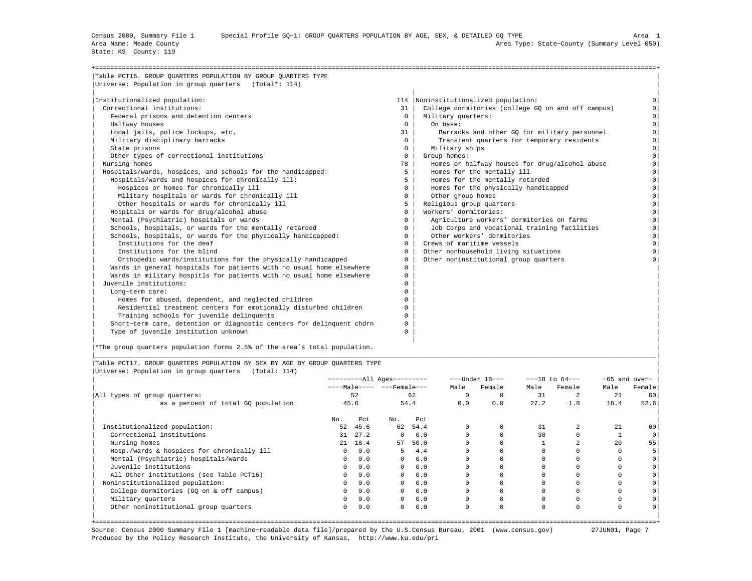State: KS County: 119

| Table PCT16. GROUP OUARTERS POPULATION BY GROUP OUARTERS TYPE         |              |                                                    |          |
|-----------------------------------------------------------------------|--------------|----------------------------------------------------|----------|
| Universe: Population in group quarters (Total*: 114)                  |              |                                                    |          |
| Institutionalized population:                                         |              | 114  Noninstitutionalized population:              |          |
| Correctional institutions:                                            | 31           | College dormitories (college GO on and off campus) |          |
| Federal prisons and detention centers                                 | $\mathbf{0}$ | Military quarters:                                 | $\Omega$ |
| Halfway houses                                                        | $\mathbf{0}$ | On base:                                           | $\Omega$ |
| Local jails, police lockups, etc.                                     | 31           | Barracks and other GQ for military personnel       | $\Omega$ |
| Military disciplinary barracks                                        | $\Omega$     | Transient quarters for temporary residents         | $\Omega$ |
| State prisons                                                         | $\Omega$     | Military ships                                     | $\circ$  |
| Other types of correctional institutions                              | $\Omega$     | Group homes:                                       | $\Omega$ |
| Nursing homes                                                         | 78           | Homes or halfway houses for drug/alcohol abuse     | $\Omega$ |
| Hospitals/wards, hospices, and schools for the handicapped:           | 5            | Homes for the mentally ill                         | $\Omega$ |
| Hospitals/wards and hospices for chronically ill:                     | 5            | Homes for the mentally retarded                    | $\Omega$ |
| Hospices or homes for chronically ill                                 | $^{\circ}$   | Homes for the physically handicapped               | $\circ$  |
| Military hospitals or wards for chronically ill                       | $\circ$      | Other group homes                                  | $\Omega$ |
| Other hospitals or wards for chronically ill                          | 5            | Religious group quarters                           | $\Omega$ |
| Hospitals or wards for drug/alcohol abuse                             | $\Omega$     | Workers' dormitories:                              | $\Omega$ |
| Mental (Psychiatric) hospitals or wards                               | $\Omega$     | Agriculture workers' dormitories on farms          | $\Omega$ |
| Schools, hospitals, or wards for the mentally retarded                | $\Omega$     | Job Corps and vocational training facilities       | $\Omega$ |
| Schools, hospitals, or wards for the physically handicapped:          | $\Omega$     | Other workers' dormitories                         | $\Omega$ |
| Institutions for the deaf                                             | $\Omega$     | Crews of maritime vessels                          | $\Omega$ |
| Institutions for the blind                                            | $\Omega$     | Other nonhousehold living situations               | $\Omega$ |
| Orthopedic wards/institutions for the physically handicapped          | $\Omega$     | Other noninstitutional group quarters              |          |
| Wards in general hospitals for patients with no usual home elsewhere  | 0            |                                                    |          |
| Wards in military hospitls for patients with no usual home elsewhere  | 0            |                                                    |          |
| Juvenile institutions:                                                | 0            |                                                    |          |
| Long-term care:                                                       | 0            |                                                    |          |
| Homes for abused, dependent, and neglected children                   | 0            |                                                    |          |
| Residential treatment centers for emotionally disturbed children      | 0            |                                                    |          |
| Training schools for juvenile delinquents                             | 0            |                                                    |          |
| Short-term care, detention or diagnostic centers for delinquent chdrn | 0            |                                                    |          |
| Type of juvenile institution unknown                                  | 0            |                                                    |          |

|\*The group quarters population forms 2.5% of the area's total population. |

|Table PCT17. GROUP QUARTERS POPULATION BY SEX BY AGE BY GROUP QUARTERS TYPE | |Universe: Population in group quarters (Total: 114) |

|                                            | ----------All Ages--------- |      |                           |      |      | $---Under 18---$ |          | $---18$ to $64---$ |          | $-65$ and over- |
|--------------------------------------------|-----------------------------|------|---------------------------|------|------|------------------|----------|--------------------|----------|-----------------|
|                                            |                             |      | ----Male---- ---Female--- |      | Male | Female           | Male     | Female             | Male     | Female          |
| All types of group quarters:               |                             | 52   |                           | 62   | 0    |                  | 31       |                    | 21       | 60              |
| as a percent of total GQ population        |                             | 45.6 |                           | 54.4 | 0.0  | 0.0              | 27.2     | 1.8                | 18.4     | 52.6            |
|                                            | No.                         | Pct  | No.                       | Pct  |      |                  |          |                    |          |                 |
| Institutionalized population:              | 52                          | 45.6 | 62                        | 54.4 | 0    |                  | 31       |                    | 21       | 60              |
| Correctional institutions                  | 31                          | 27.2 | $^{\circ}$                | 0.0  |      |                  | 30       |                    |          |                 |
| Nursing homes                              | 2.1                         | 18.4 | 57                        | 50.0 |      |                  |          |                    | 20       | 55              |
| Hosp./wards & hospices for chronically ill |                             | 0.0  | 5.                        | 4.4  |      |                  |          |                    |          |                 |
| Mental (Psychiatric) hospitals/wards       | $\Omega$                    | 0.0  | $\mathbf{0}$              | 0.0  |      |                  |          |                    |          |                 |
| Juvenile institutions                      | $\Omega$                    | 0.0  | $\Omega$                  | 0.0  |      |                  |          |                    |          |                 |
| All Other institutions (see Table PCT16)   | 0                           | 0.0  | $^{\circ}$                | 0.0  |      |                  |          |                    |          |                 |
| Noninstitutionalized population:           | 0                           | 0.0  | $^{\circ}$                | 0.0  |      |                  |          |                    |          |                 |
| College dormitories (GQ on & off campus)   | 0                           | 0.0  | $^{\circ}$                | 0.0  |      |                  |          | $\Omega$           |          |                 |
| Military quarters                          | 0                           | 0.0  | $\mathbf{0}$              | 0.0  |      |                  |          |                    |          |                 |
| Other noninstitutional group quarters      | 0                           | 0.0  | $\mathbf{0}$              | 0.0  | 0    | 0                | $\Omega$ | $\Omega$           | $\Omega$ |                 |
|                                            |                             |      |                           |      |      |                  |          |                    |          |                 |

|\_\_\_\_\_\_\_\_\_\_\_\_\_\_\_\_\_\_\_\_\_\_\_\_\_\_\_\_\_\_\_\_\_\_\_\_\_\_\_\_\_\_\_\_\_\_\_\_\_\_\_\_\_\_\_\_\_\_\_\_\_\_\_\_\_\_\_\_\_\_\_\_\_\_\_\_\_\_\_\_\_\_\_\_\_\_\_\_\_\_\_\_\_\_\_\_\_\_\_\_\_\_\_\_\_\_\_\_\_\_\_\_\_\_\_\_\_\_\_\_\_\_\_\_\_\_\_\_\_\_\_\_\_\_\_\_\_\_\_\_\_\_\_\_\_\_\_|

+===================================================================================================================================================+ Source: Census 2000 Summary File 1 [machine−readable data file]/prepared by the U.S.Census Bureau, 2001 (www.census.gov) 27JUN01, Page 7 Produced by the Policy Research Institute, the University of Kansas, http://www.ku.edu/pri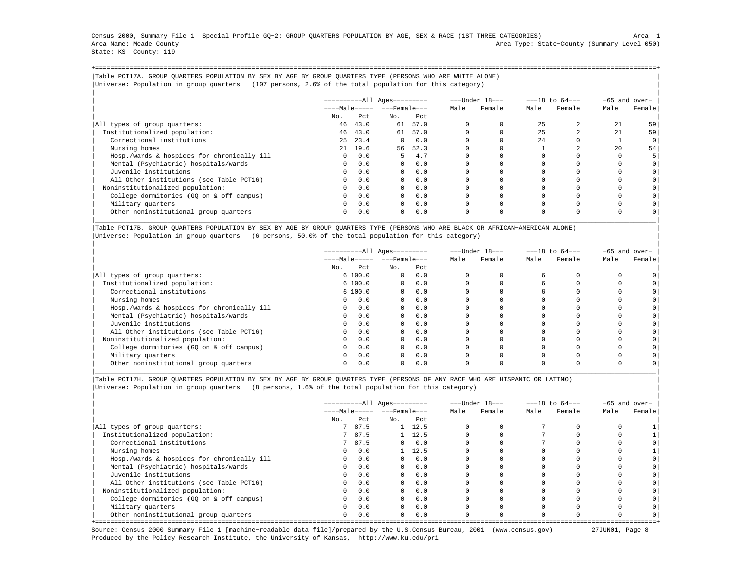Census 2000, Summary File 1 Special Profile GQ−2: GROUP QUARTERS POPULATION BY AGE, SEX & RACE (1ST THREE CATEGORIES) Area 1 Area Name: Meade County Area Type: State−County (Summary Level 050) State: KS County: 119

+===================================================================================================================================================+|Table PCT17A. GROUP QUARTERS POPULATION BY SEX BY AGE BY GROUP QUARTERS TYPE (PERSONS WHO ARE WHITE ALONE) | |Universe: Population in group quarters (107 persons, 2.6% of the total population for this category) |

|                                            |              |         | $------All Aqes------$ |            | ---Under 18--- |        | $---18$ to $64---$ |        | -65 and over- |          |
|--------------------------------------------|--------------|---------|------------------------|------------|----------------|--------|--------------------|--------|---------------|----------|
|                                            |              |         | $---Male--- - -Frame$  |            | Male           | Female | Male               | Female | Male          | Female   |
|                                            | No.          | Pct     | No.                    | Pct        |                |        |                    |        |               |          |
| All types of group quarters:               | 46           | 43.0    | 61                     | 57.0       |                |        | 25                 |        | 21            | 59       |
| Institutionalized population:              |              | 46 43.0 |                        | 61 57.0    |                |        | 25                 |        | 2.1           | 59       |
| Correctional institutions                  | 25           | 23.4    | $\Omega$               | 0.0        |                |        | 2.4                |        |               | $\Omega$ |
| Nursing homes                              |              | 21 19.6 | 56                     | 52.3       |                |        |                    |        | 2.0           | 54       |
| Hosp./wards & hospices for chronically ill | $\Omega$     | 0.0     | 5.                     | 4.7        |                |        |                    |        |               |          |
| Mental (Psychiatric) hospitals/wards       | $\Omega$     | 0.0     |                        | $0 \t 0.0$ |                |        |                    |        |               |          |
| Juvenile institutions                      | $\Omega$     | 0.0     | $\Omega$               | 0.0        |                |        |                    |        |               |          |
| All Other institutions (see Table PCT16)   | $\Omega$     | 0.0     | $\Omega$               | 0.0        |                |        |                    |        |               |          |
| Noninstitutionalized population:           | $\Omega$     | 0.0     | $\Omega$               | 0.0        |                |        |                    |        |               |          |
| College dormitories (GO on & off campus)   | $\circ$      | 0.0     | $\Omega$               | 0.0        |                |        |                    |        |               |          |
| Military quarters                          | $\mathbf{0}$ | 0.0     | $\overline{0}$         | 0.0        |                |        |                    |        |               |          |
| Other noninstitutional group quarters      | $\Omega$     | 0.0     | $\Omega$               | 0.0        |                |        | $\Omega$           |        |               |          |

|Table PCT17B. GROUP QUARTERS POPULATION BY SEX BY AGE BY GROUP QUARTERS TYPE (PERSONS WHO ARE BLACK OR AFRICAN−AMERICAN ALONE) | |Universe: Population in group quarters (6 persons, 50.0% of the total population for this category) |

|                                            |          |        | ----------All Ages--------- |     |      | ---Under 18--- |      | $---18$ to $64---$ |      | -65 and over-  |
|--------------------------------------------|----------|--------|-----------------------------|-----|------|----------------|------|--------------------|------|----------------|
|                                            |          |        | $---Male--- - -Frame$       |     | Male | Female         | Male | Female             | Male | Female         |
|                                            | No.      | Pct    | No.                         | Pct |      |                |      |                    |      |                |
| All types of group quarters:               |          | 6100.0 | $\circ$                     | 0.0 |      |                |      |                    |      |                |
| Institutionalized population:              |          | 6100.0 | $\overline{0}$              | 0.0 |      |                |      |                    |      |                |
| Correctional institutions                  |          | 6100.0 | $\Omega$                    | 0.0 |      |                |      |                    |      | 0 <sup>1</sup> |
| Nursing homes                              | $\Omega$ | 0.0    | $\Omega$                    | 0.0 |      |                |      |                    |      | 0 <sup>1</sup> |
| Hosp./wards & hospices for chronically ill | $\Omega$ | 0.0    | $\Omega$                    | 0.0 |      |                |      |                    |      | 0 <sup>1</sup> |
| Mental (Psychiatric) hospitals/wards       | $\circ$  | 0.0    | $\Omega$                    | 0.0 |      |                |      |                    |      |                |
| Juvenile institutions                      | $\Omega$ | 0.0    | $\Omega$                    | 0.0 |      |                |      |                    |      | 0 <sup>1</sup> |
| All Other institutions (see Table PCT16)   | $\Omega$ | 0.0    | $\Omega$                    | 0.0 |      |                |      |                    |      | 0 <sup>1</sup> |
| Noninstitutionalized population:           | $\Omega$ | 0.0    | $\Omega$                    | 0.0 |      |                |      |                    |      |                |
| College dormitories (GO on & off campus)   | $\Omega$ | 0.0    | $\Omega$                    | 0.0 |      |                |      |                    |      | 0 <sup>1</sup> |
| Military quarters                          | $\Omega$ | 0.0    | $\Omega$                    | 0.0 |      |                |      |                    |      | 0 <sup>1</sup> |
| Other noninstitutional group quarters      | 0        | 0.0    | $\Omega$                    | 0.0 |      |                |      |                    |      |                |

|\_\_\_\_\_\_\_\_\_\_\_\_\_\_\_\_\_\_\_\_\_\_\_\_\_\_\_\_\_\_\_\_\_\_\_\_\_\_\_\_\_\_\_\_\_\_\_\_\_\_\_\_\_\_\_\_\_\_\_\_\_\_\_\_\_\_\_\_\_\_\_\_\_\_\_\_\_\_\_\_\_\_\_\_\_\_\_\_\_\_\_\_\_\_\_\_\_\_\_\_\_\_\_\_\_\_\_\_\_\_\_\_\_\_\_\_\_\_\_\_\_\_\_\_\_\_\_\_\_\_\_\_\_\_\_\_\_\_\_\_\_\_\_\_\_\_\_|

|Table PCT17H. GROUP QUARTERS POPULATION BY SEX BY AGE BY GROUP QUARTERS TYPE (PERSONS OF ANY RACE WHO ARE HISPANIC OR LATINO) | |Universe: Population in group quarters (8 persons, 1.6% of the total population for this category) |

|                                            |              |        | ----------All Ages--------- |                |      | ---Under 18--- |      | $---18$ to $64---$ |      | $-65$ and over- |
|--------------------------------------------|--------------|--------|-----------------------------|----------------|------|----------------|------|--------------------|------|-----------------|
|                                            |              |        | $---Male--- - -}-Female---$ |                | Male | Female         | Male | Female             | Male | Female          |
|                                            | No.          | Pct.   | No.                         | Pct            |      |                |      |                    |      |                 |
| All types of group quarters:               |              | 7 87.5 |                             | $1 \quad 12.5$ |      |                |      |                    |      |                 |
| Institutionalized population:              |              | 7 87.5 |                             | $1 \quad 12.5$ |      |                |      |                    |      |                 |
| Correctional institutions                  |              | 7 87.5 |                             | $0 \t 0.0$     |      |                |      |                    |      |                 |
| Nursing homes                              | $\Omega$     | 0.0    |                             | $1 \quad 12.5$ |      |                |      |                    |      |                 |
| Hosp./wards & hospices for chronically ill | $\Omega$     | 0.0    | $\Omega$                    | 0.0            |      |                |      |                    |      |                 |
| Mental (Psychiatric) hospitals/wards       | $\Omega$     | 0.0    | $\Omega$                    | 0.0            |      |                |      |                    |      |                 |
| Juvenile institutions                      | $\Omega$     | 0.0    | $\Omega$                    | 0.0            |      |                |      |                    |      |                 |
| All Other institutions (see Table PCT16)   | $\mathbf{0}$ | 0.0    | $\Omega$                    | 0.0            |      |                |      |                    |      |                 |
| Noninstitutionalized population:           | $\Omega$     | 0.0    | $\Omega$                    | 0.0            |      |                |      |                    |      |                 |
| College dormitories (GQ on & off campus)   | $\Omega$     | 0.0    | $\Omega$                    | 0.0            |      |                |      |                    |      |                 |
| Military quarters                          | $\Omega$     | 0.0    | $\Omega$                    | 0.0            |      |                |      |                    |      |                 |
| Other noninstitutional group quarters      | $\circ$      | 0.0    | $\Omega$                    | 0.0            |      |                |      |                    |      |                 |

Source: Census 2000 Summary File 1 [machine−readable data file]/prepared by the U.S.Census Bureau, 2001 (www.census.gov) 27JUN01, Page 8 Produced by the Policy Research Institute, the University of Kansas, http://www.ku.edu/pri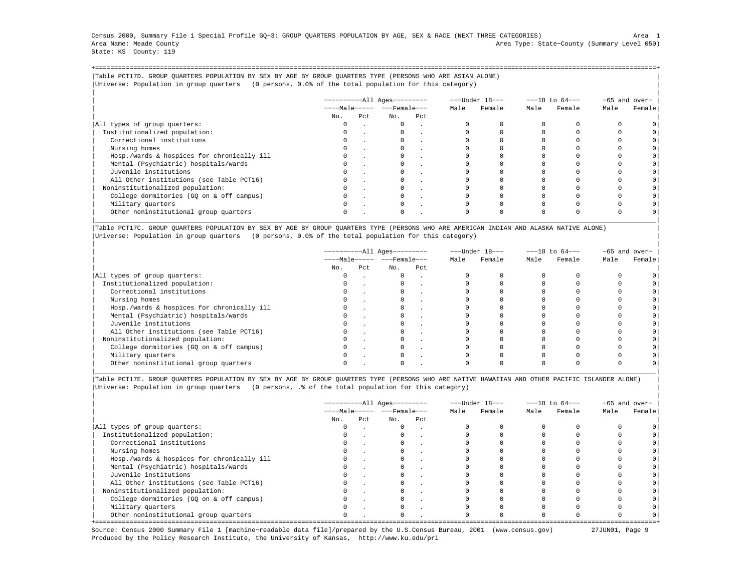Census 2000, Summary File 1 Special Profile GQ−3: GROUP QUARTERS POPULATION BY AGE, SEX & RACE (NEXT THREE CATEGORIES) Area 1 Area Name: Meade County Area Type: State−County (Summary Level 050) State: KS County: 119

+===================================================================================================================================================+|Table PCT17D. GROUP QUARTERS POPULATION BY SEX BY AGE BY GROUP QUARTERS TYPE (PERSONS WHO ARE ASIAN ALONE) | |Universe: Population in group quarters (0 persons, 0.0% of the total population for this category) |

|                                            |     |     | $------All Aqes------$  |     |      | ---Under 18--- |      | $---18$ to $64---$ | -65 and over- |         |
|--------------------------------------------|-----|-----|-------------------------|-----|------|----------------|------|--------------------|---------------|---------|
|                                            |     |     | $---Male--- - - Female$ |     | Male | Female         | Male | Female             | Male          | Female  |
|                                            | No. | Pct | No.                     | Pct |      |                |      |                    |               |         |
| All types of group quarters:               |     |     | $\mathbf{0}$            |     |      |                |      |                    |               |         |
| Institutionalized population:              |     |     |                         |     |      |                |      |                    |               |         |
| Correctional institutions                  |     |     |                         |     |      |                |      |                    |               | $\circ$ |
| Nursing homes                              |     |     |                         |     |      |                |      |                    |               |         |
| Hosp./wards & hospices for chronically ill |     |     |                         |     |      |                |      |                    |               | $\circ$ |
| Mental (Psychiatric) hospitals/wards       |     |     |                         |     |      |                |      |                    |               | $\circ$ |
| Juvenile institutions                      |     |     |                         |     |      |                |      |                    |               | $\circ$ |
| All Other institutions (see Table PCT16)   |     |     |                         |     |      |                |      |                    |               |         |
| Noninstitutionalized population:           |     |     |                         |     |      |                |      |                    |               | $\circ$ |
| College dormitories (GO on & off campus)   |     |     |                         |     |      |                |      |                    |               | $\circ$ |
| Military quarters                          |     |     | $\Omega$                |     |      |                |      |                    |               |         |
| Other noninstitutional group quarters      |     |     |                         |     |      |                |      |                    |               |         |

|Table PCT17C. GROUP QUARTERS POPULATION BY SEX BY AGE BY GROUP QUARTERS TYPE (PERSONS WHO ARE AMERICAN INDIAN AND ALASKA NATIVE ALONE) | |Universe: Population in group quarters (0 persons, 0.0% of the total population for this category) |

|                                            |          |     | ----------All Ages--------- |                                | ---Under 18--- |        | $---18$ to $64---$ |        | $-65$ and over- |        |
|--------------------------------------------|----------|-----|-----------------------------|--------------------------------|----------------|--------|--------------------|--------|-----------------|--------|
|                                            |          |     |                             | $---Male--- -  ---$ Female --- |                | Female | Male               | Female | Male            | Female |
|                                            | No.      | Pct | No.                         | Pct                            |                |        |                    |        |                 |        |
| All types of group quarters:               | 0        |     | $\mathbf{0}$                | $\sim$                         |                |        |                    |        |                 |        |
| Institutionalized population:              | 0        |     |                             |                                |                |        |                    |        |                 |        |
| Correctional institutions                  | $\Omega$ |     |                             |                                |                |        |                    |        |                 |        |
| Nursing homes                              |          |     |                             |                                |                |        |                    |        |                 |        |
| Hosp./wards & hospices for chronically ill |          |     |                             |                                |                |        |                    |        |                 |        |
| Mental (Psychiatric) hospitals/wards       |          |     |                             |                                |                |        |                    |        |                 |        |
| Juvenile institutions                      | $\Omega$ |     |                             |                                |                |        |                    |        |                 |        |
| All Other institutions (see Table PCT16)   |          |     |                             |                                |                |        |                    |        |                 |        |
| Noninstitutionalized population:           |          |     |                             |                                |                |        |                    |        |                 |        |
| College dormitories (GQ on & off campus)   |          |     |                             |                                |                |        |                    |        |                 |        |
| Military quarters                          | $\Omega$ |     |                             |                                |                |        |                    |        |                 |        |
| Other noninstitutional group quarters      |          |     |                             |                                |                |        |                    |        |                 |        |

|Table PCT17E. GROUP QUARTERS POPULATION BY SEX BY AGE BY GROUP QUARTERS TYPE (PERSONS WHO ARE NATIVE HAWAIIAN AND OTHER PACIFIC ISLANDER ALONE) | |Universe: Population in group quarters (0 persons, .% of the total population for this category) |

|                                            |          |      | ----------All Ages---------  |     |      | ---Under 18--- |      | $---18$ to $64---$ | -65 and over- |        |
|--------------------------------------------|----------|------|------------------------------|-----|------|----------------|------|--------------------|---------------|--------|
|                                            |          |      | $---Male--- - - - Female---$ |     | Male | Female         | Male | Female             | Male          | Female |
|                                            | No.      | Pct. | No.                          | Pct |      |                |      |                    |               |        |
| All types of group quarters:               | 0        |      | $\Omega$                     |     |      |                |      |                    |               |        |
| Institutionalized population:              | $\Omega$ |      |                              |     |      |                |      |                    |               |        |
| Correctional institutions                  |          |      |                              |     |      |                |      |                    |               |        |
| Nursing homes                              |          |      |                              |     |      |                |      |                    |               |        |
| Hosp./wards & hospices for chronically ill | $\Omega$ |      |                              |     |      |                |      |                    |               |        |
| Mental (Psychiatric) hospitals/wards       | 0        |      |                              |     |      |                |      |                    |               |        |
| Juvenile institutions                      |          |      |                              |     |      |                |      |                    |               |        |
| All Other institutions (see Table PCT16)   |          |      |                              |     |      |                |      |                    |               |        |
| Noninstitutionalized population:           | $\Omega$ |      |                              |     |      |                |      |                    |               |        |
| College dormitories (GQ on & off campus)   |          |      |                              |     |      |                |      |                    |               |        |
| Military quarters                          |          |      |                              |     |      |                |      |                    |               |        |
| Other noninstitutional group quarters      | $\Omega$ |      | $\Omega$                     |     |      |                |      |                    |               |        |

Source: Census 2000 Summary File 1 [machine−readable data file]/prepared by the U.S.Census Bureau, 2001 (www.census.gov) 27JUN01, Page 9 Produced by the Policy Research Institute, the University of Kansas, http://www.ku.edu/pri